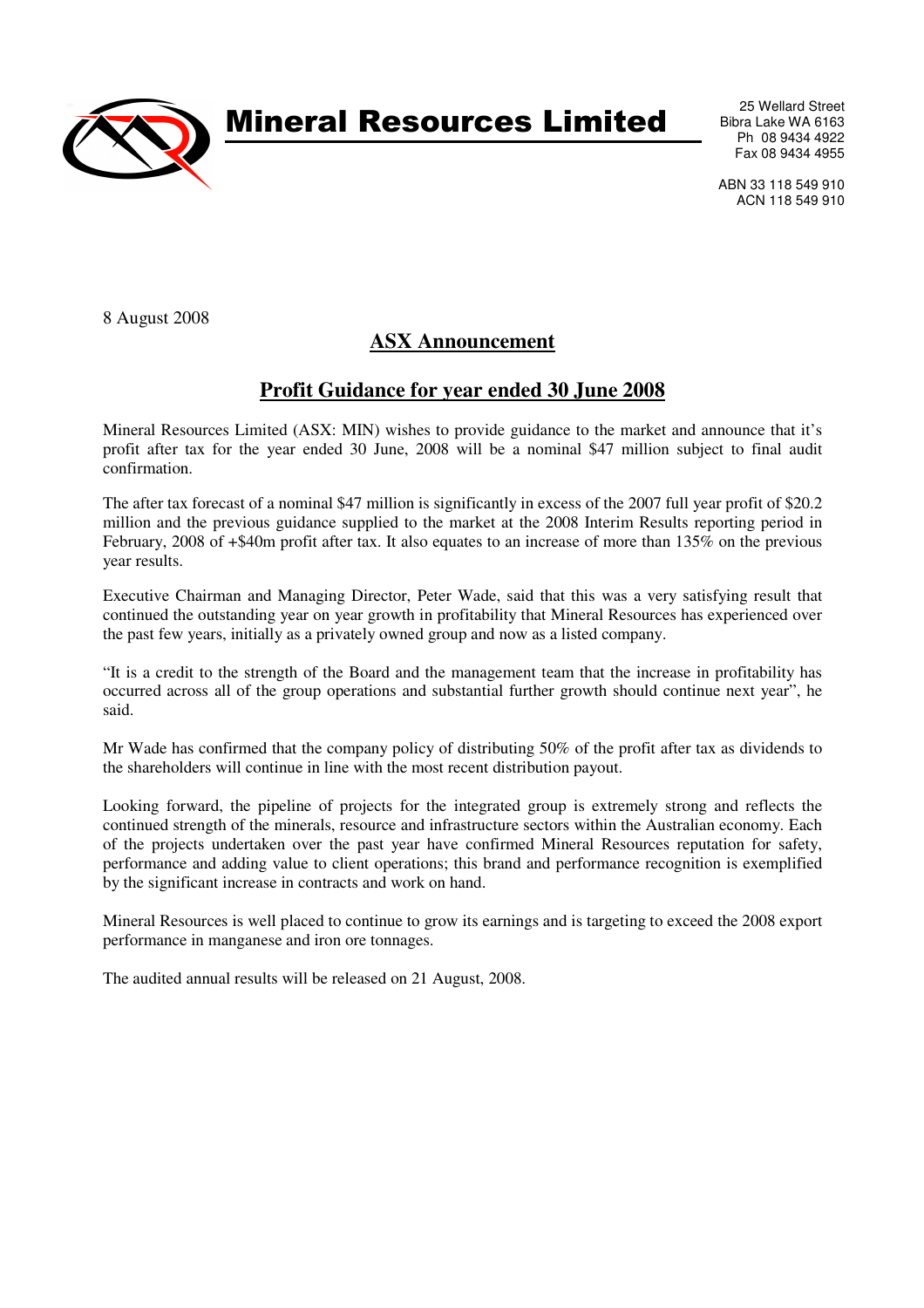

Mineral Resources Limited

25 Wellard Street Bibra Lake WA 6163 Ph 08 9434 4922 Fax 08 9434 4955

ABN 33 118 549 910 ACN 118 549 910

8 August 2008

## **ASX Announcement**

## **Profit Guidance for year ended 30 June 2008**

Mineral Resources Limited (ASX: MIN) wishes to provide guidance to the market and announce that it's profit after tax for the year ended 30 June, 2008 will be a nominal \$47 million subject to final audit confirmation.

The after tax forecast of a nominal \$47 million is significantly in excess of the 2007 full year profit of \$20.2 million and the previous guidance supplied to the market at the 2008 Interim Results reporting period in February, 2008 of +\$40m profit after tax. It also equates to an increase of more than 135% on the previous year results.

Executive Chairman and Managing Director, Peter Wade, said that this was a very satisfying result that continued the outstanding year on year growth in profitability that Mineral Resources has experienced over the past few years, initially as a privately owned group and now as a listed company.

"It is a credit to the strength of the Board and the management team that the increase in profitability has occurred across all of the group operations and substantial further growth should continue next year", he said.

Mr Wade has confirmed that the company policy of distributing 50% of the profit after tax as dividends to the shareholders will continue in line with the most recent distribution payout.

Looking forward, the pipeline of projects for the integrated group is extremely strong and reflects the continued strength of the minerals, resource and infrastructure sectors within the Australian economy. Each of the projects undertaken over the past year have confirmed Mineral Resources reputation for safety, performance and adding value to client operations; this brand and performance recognition is exemplified by the significant increase in contracts and work on hand.

Mineral Resources is well placed to continue to grow its earnings and is targeting to exceed the 2008 export performance in manganese and iron ore tonnages.

The audited annual results will be released on 21 August, 2008.